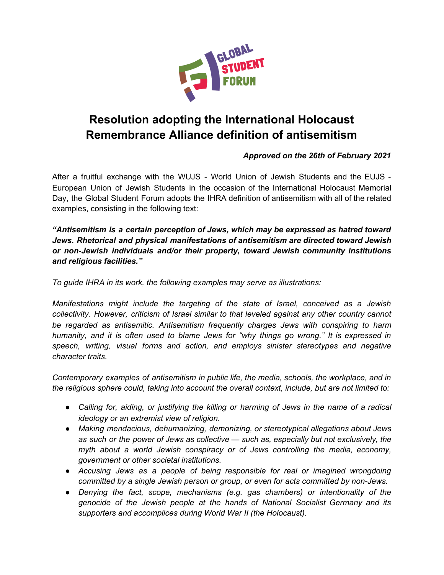

## **Resolution adopting the International Holocaust Remembrance Alliance definition of antisemitism**

## *Approved on the 26th of February 2021*

After a fruitful exchange with the WUJS - World Union of Jewish Students and the EUJS - European Union of Jewish Students in the occasion of the International Holocaust Memorial Day, the Global Student Forum adopts the IHRA definition of antisemitism with all of the related examples, consisting in the following text:

*"Antisemitism is a certain perception of Jews, which may be expressed as hatred toward Jews. Rhetorical and physical manifestations of antisemitism are directed toward Jewish or non-Jewish individuals and/or their property, toward Jewish community institutions and religious facilities."*

*To guide IHRA in its work, the following examples may serve as illustrations:*

*Manifestations might include the targeting of the state of Israel, conceived as a Jewish collectivity. However, criticism of Israel similar to that leveled against any other country cannot be regarded as antisemitic. Antisemitism frequently charges Jews with conspiring to harm humanity, and it is often used to blame Jews for "why things go wrong." It is expressed in speech, writing, visual forms and action, and employs sinister stereotypes and negative character traits.*

*Contemporary examples of antisemitism in public life, the media, schools, the workplace, and in the religious sphere could, taking into account the overall context, include, but are not limited to:*

- *● Calling for, aiding, or justifying the killing or harming of Jews in the name of a radical ideology or an extremist view of religion.*
- *● Making mendacious, dehumanizing, demonizing, or stereotypical allegations about Jews as such or the power of Jews as collective — such as, especially but not exclusively, the myth about a world Jewish conspiracy or of Jews controlling the media, economy, government or other societal institutions.*
- *● Accusing Jews as a people of being responsible for real or imagined wrongdoing committed by a single Jewish person or group, or even for acts committed by non-Jews.*
- *● Denying the fact, scope, mechanisms (e.g. gas chambers) or intentionality of the genocide of the Jewish people at the hands of National Socialist Germany and its supporters and accomplices during World War II (the Holocaust).*